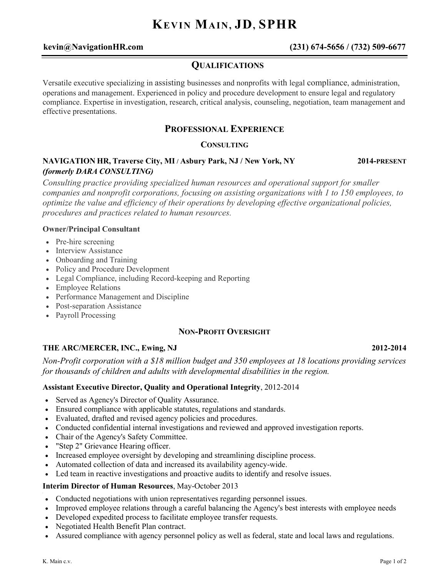# **KEVIN MAIN, JD, SPHR**

# **kevin@NavigationHR.com (231) 674-5656 / (732) 509-6677**

# **QUALIFICATIONS**

Versatile executive specializing in assisting businesses and nonprofits with legal compliance, administration, operations and management. Experienced in policy and procedure development to ensure legal and regulatory compliance. Expertise in investigation, research, critical analysis, counseling, negotiation, team management and effective presentations.

# **PROFESSIONAL EXPERIENCE**

#### **CONSULTING**

## **NAVIGATION HR, Traverse City, MI / Asbury Park, NJ / New York, NY 2014-PRESENT** *(formerly DARA CONSULTING)*

*Consulting practice providing specialized human resources and operational support for smaller companies and nonprofit corporations, focusing on assisting organizations with 1 to 150 employees, to optimize the value and efficiency of their operations by developing effective organizational policies, procedures and practices related to human resources.* 

#### **Owner/Principal Consultant**

- Pre-hire screening
- Interview Assistance
- Onboarding and Training
- Policy and Procedure Development
- Legal Compliance, including Record-keeping and Reporting
- Employee Relations
- Performance Management and Discipline
- Post-separation Assistance
- Payroll Processing

#### **NON-PROFIT OVERSIGHT**

### **THE ARC/MERCER, INC., Ewing, NJ 2012-2014**

# *Non-Profit corporation with a \$18 million budget and 350 employees at 18 locations providing services for thousands of children and adults with developmental disabilities in the region.*

#### **Assistant Executive Director, Quality and Operational Integrity**, 2012-2014

- Served as Agency's Director of Quality Assurance.
- Ensured compliance with applicable statutes, regulations and standards.
- Evaluated, drafted and revised agency policies and procedures.
- Conducted confidential internal investigations and reviewed and approved investigation reports.
- Chair of the Agency's Safety Committee.
- "Step 2" Grievance Hearing officer.
- Increased employee oversight by developing and streamlining discipline process.
- Automated collection of data and increased its availability agency-wide.
- Led team in reactive investigations and proactive audits to identify and resolve issues.

#### **Interim Director of Human Resources**, May-October 2013

- Conducted negotiations with union representatives regarding personnel issues.
- Improved employee relations through a careful balancing the Agency's best interests with employee needs
- Developed expedited process to facilitate employee transfer requests.
- Negotiated Health Benefit Plan contract.
- Assured compliance with agency personnel policy as well as federal, state and local laws and regulations.